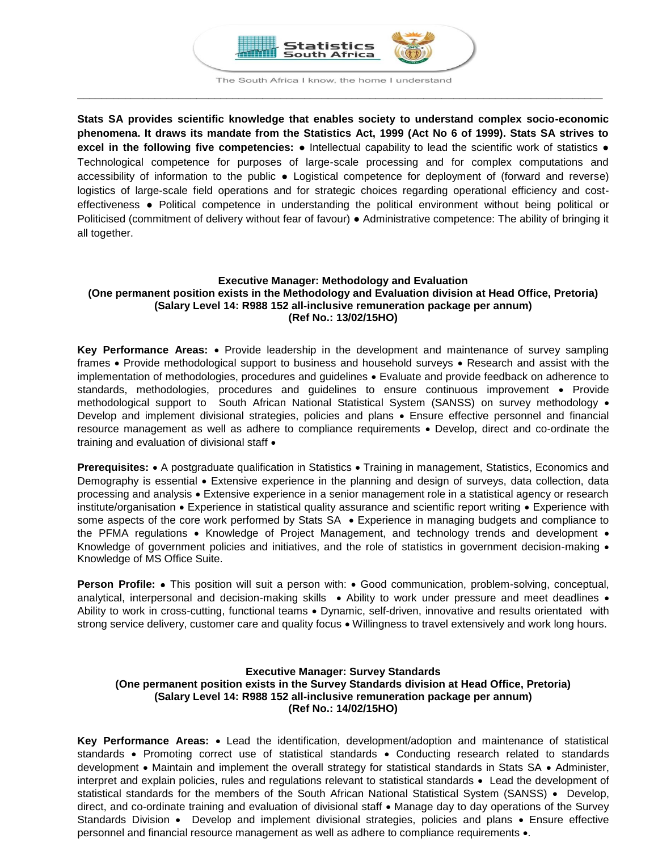

The South Africa I know, the home I understand **\_\_\_\_\_\_\_\_\_\_\_\_\_\_\_\_\_\_\_\_\_\_\_\_\_\_\_\_\_\_\_\_\_\_\_\_\_\_\_\_\_\_\_\_\_\_\_\_\_\_\_\_\_\_\_\_\_\_\_\_\_\_\_\_\_\_\_\_\_\_\_\_\_\_\_\_\_\_\_\_\_\_\_\_\_\_\_\_**

**Stats SA provides scientific knowledge that enables society to understand complex socio-economic phenomena. It draws its mandate from the Statistics Act, 1999 (Act No 6 of 1999). Stats SA strives to excel in the following five competencies:** ● Intellectual capability to lead the scientific work of statistics ● Technological competence for purposes of large-scale processing and for complex computations and accessibility of information to the public ● Logistical competence for deployment of (forward and reverse) logistics of large-scale field operations and for strategic choices regarding operational efficiency and costeffectiveness ● Political competence in understanding the political environment without being political or Politicised (commitment of delivery without fear of favour) ● Administrative competence: The ability of bringing it all together.

# **Executive Manager: Methodology and Evaluation (One permanent position exists in the Methodology and Evaluation division at Head Office, Pretoria) (Salary Level 14: R988 152 all-inclusive remuneration package per annum) (Ref No.: 13/02/15HO)**

**Key Performance Areas:**  Provide leadership in the development and maintenance of survey sampling frames • Provide methodological support to business and household surveys • Research and assist with the implementation of methodologies, procedures and guidelines Evaluate and provide feedback on adherence to standards, methodologies, procedures and guidelines to ensure continuous improvement · Provide methodological support to South African National Statistical System (SANSS) on survey methodology . Develop and implement divisional strategies, policies and plans Ensure effective personnel and financial resource management as well as adhere to compliance requirements • Develop, direct and co-ordinate the training and evaluation of divisional staff •

**Prerequisites:** • A postgraduate qualification in Statistics • Training in management, Statistics, Economics and Demography is essential • Extensive experience in the planning and design of surveys, data collection, data processing and analysis • Extensive experience in a senior management role in a statistical agency or research institute/organisation • Experience in statistical quality assurance and scientific report writing • Experience with some aspects of the core work performed by Stats SA • Experience in managing budgets and compliance to the PFMA regulations  $\bullet$  Knowledge of Project Management, and technology trends and development  $\bullet$ Knowledge of government policies and initiatives, and the role of statistics in government decision-making  $\bullet$ Knowledge of MS Office Suite.

**Person Profile:** • This position will suit a person with: • Good communication, problem-solving, conceptual, analytical, interpersonal and decision-making skills • Ability to work under pressure and meet deadlines • Ability to work in cross-cutting, functional teams . Dynamic, self-driven, innovative and results orientated with strong service delivery, customer care and quality focus  $\bullet$  Willingness to travel extensively and work long hours.

# **Executive Manager: Survey Standards (One permanent position exists in the Survey Standards division at Head Office, Pretoria) (Salary Level 14: R988 152 all-inclusive remuneration package per annum) (Ref No.: 14/02/15HO)**

**Key Performance Areas:**  Lead the identification, development/adoption and maintenance of statistical standards • Promoting correct use of statistical standards • Conducting research related to standards development . Maintain and implement the overall strategy for statistical standards in Stats SA . Administer, interpret and explain policies, rules and regulations relevant to statistical standards Lead the development of statistical standards for the members of the South African National Statistical System (SANSS) • Develop, direct, and co-ordinate training and evaluation of divisional staff • Manage day to day operations of the Survey Standards Division • Develop and implement divisional strategies, policies and plans • Ensure effective personnel and financial resource management as well as adhere to compliance requirements .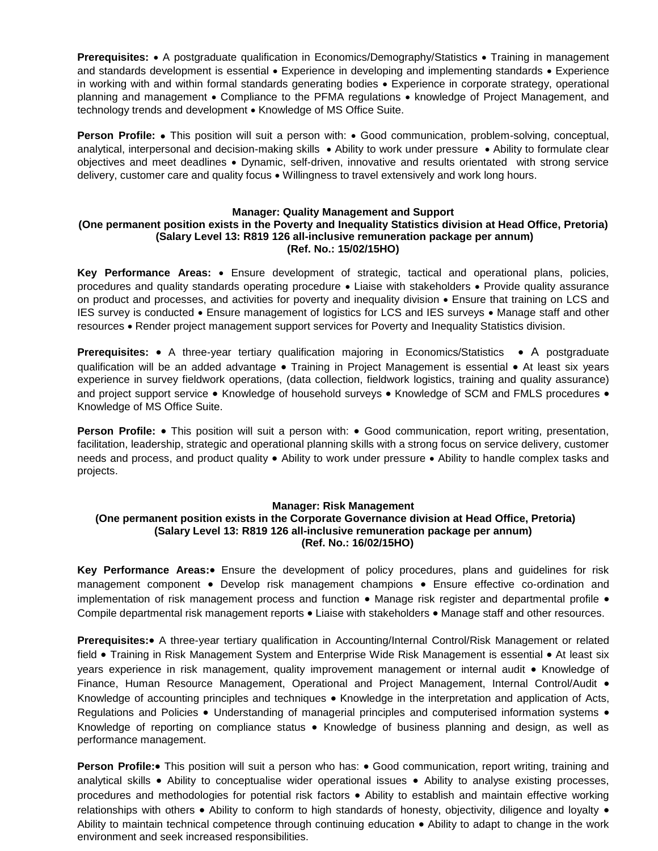**Prerequisites:** • A postgraduate qualification in Economics/Demography/Statistics • Training in management and standards development is essential • Experience in developing and implementing standards • Experience in working with and within formal standards generating bodies • Experience in corporate strategy, operational planning and management • Compliance to the PFMA regulations • knowledge of Project Management, and technology trends and development • Knowledge of MS Office Suite.

**Person Profile:** • This position will suit a person with: • Good communication, problem-solving, conceptual, analytical, interpersonal and decision-making skills • Ability to work under pressure • Ability to formulate clear objectives and meet deadlines Dynamic, self-driven, innovative and results orientated with strong service delivery, customer care and quality focus Willingness to travel extensively and work long hours.

#### **Manager: Quality Management and Support**

#### **(One permanent position exists in the Poverty and Inequality Statistics division at Head Office, Pretoria) (Salary Level 13: R819 126 all-inclusive remuneration package per annum) (Ref. No.: 15/02/15HO)**

**Key Performance Areas:** Ensure development of strategic, tactical and operational plans, policies, procedures and quality standards operating procedure  $\bullet$  Liaise with stakeholders  $\bullet$  Provide quality assurance on product and processes, and activities for poverty and inequality division Ensure that training on LCS and IES survey is conducted . Ensure management of logistics for LCS and IES surveys . Manage staff and other resources Render project management support services for Poverty and Inequality Statistics division.

**Prerequisites:** • A three-year tertiary qualification majoring in Economics/Statistics • A postgraduate qualification will be an added advantage . Training in Project Management is essential . At least six vears experience in survey fieldwork operations, (data collection, fieldwork logistics, training and quality assurance) and project support service • Knowledge of household surveys • Knowledge of SCM and FMLS procedures • Knowledge of MS Office Suite.

**Person Profile:** • This position will suit a person with: • Good communication, report writing, presentation, facilitation, leadership, strategic and operational planning skills with a strong focus on service delivery, customer needs and process, and product quality • Ability to work under pressure • Ability to handle complex tasks and projects.

#### **Manager: Risk Management**

### **(One permanent position exists in the Corporate Governance division at Head Office, Pretoria) (Salary Level 13: R819 126 all-inclusive remuneration package per annum) (Ref. No.: 16/02/15HO)**

**Key Performance Areas:** Ensure the development of policy procedures, plans and quidelines for risk management component • Develop risk management champions • Ensure effective co-ordination and implementation of risk management process and function  $\bullet$  Manage risk register and departmental profile  $\bullet$ Compile departmental risk management reports . Liaise with stakeholders . Manage staff and other resources.

**Prerequisites:** A three-year tertiary qualification in Accounting/Internal Control/Risk Management or related field • Training in Risk Management System and Enterprise Wide Risk Management is essential • At least six years experience in risk management, quality improvement management or internal audit • Knowledge of Finance, Human Resource Management, Operational and Project Management, Internal Control/Audit • Knowledge of accounting principles and techniques • Knowledge in the interpretation and application of Acts, Regulations and Policies . Understanding of managerial principles and computerised information systems . Knowledge of reporting on compliance status . Knowledge of business planning and design, as well as performance management.

**Person Profile:** This position will suit a person who has: • Good communication, report writing, training and analytical skills • Ability to conceptualise wider operational issues • Ability to analyse existing processes, procedures and methodologies for potential risk factors Ability to establish and maintain effective working relationships with others • Ability to conform to high standards of honesty, objectivity, diligence and loyalty • Ability to maintain technical competence through continuing education • Ability to adapt to change in the work environment and seek increased responsibilities.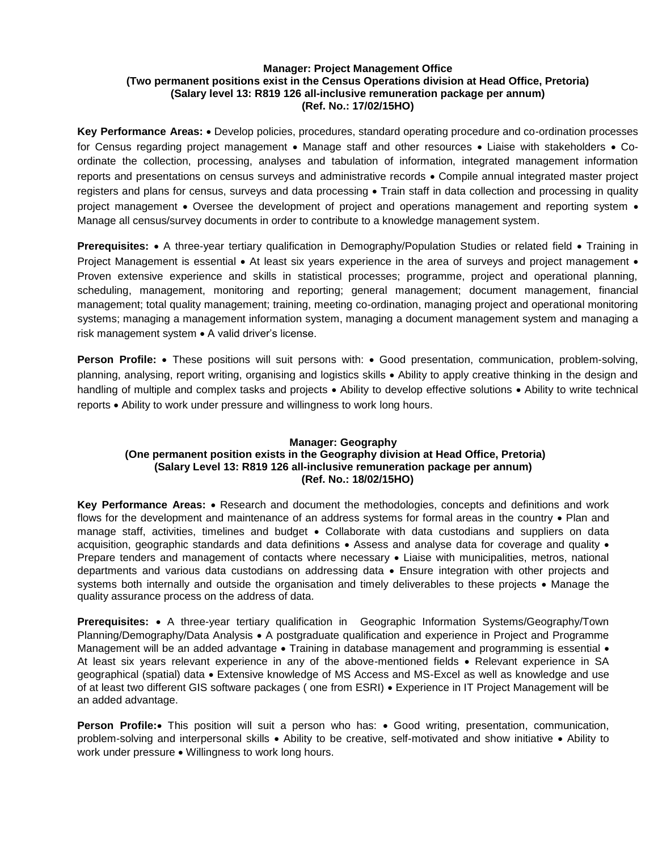# **Manager: Project Management Office (Two permanent positions exist in the Census Operations division at Head Office, Pretoria) (Salary level 13: R819 126 all-inclusive remuneration package per annum) (Ref. No.: 17/02/15HO)**

Key Performance Areas: • Develop policies, procedures, standard operating procedure and co-ordination processes for Census regarding project management • Manage staff and other resources • Liaise with stakeholders • Coordinate the collection, processing, analyses and tabulation of information, integrated management information reports and presentations on census surveys and administrative records Compile annual integrated master project registers and plans for census, surveys and data processing  $\bullet$  Train staff in data collection and processing in quality project management • Oversee the development of project and operations management and reporting system • Manage all census/survey documents in order to contribute to a knowledge management system.

**Prerequisites:** • A three-year tertiary qualification in Demography/Population Studies or related field • Training in Project Management is essential • At least six years experience in the area of surveys and project management • Proven extensive experience and skills in statistical processes; programme, project and operational planning, scheduling, management, monitoring and reporting; general management; document management, financial management; total quality management; training, meeting co-ordination, managing project and operational monitoring systems; managing a management information system, managing a document management system and managing a risk management system • A valid driver's license.

**Person Profile:** • These positions will suit persons with: • Good presentation, communication, problem-solving, planning, analysing, report writing, organising and logistics skills Ability to apply creative thinking in the design and handling of multiple and complex tasks and projects • Ability to develop effective solutions • Ability to write technical reports Ability to work under pressure and willingness to work long hours.

# **Manager: Geography (One permanent position exists in the Geography division at Head Office, Pretoria) (Salary Level 13: R819 126 all-inclusive remuneration package per annum) (Ref. No.: 18/02/15HO)**

**Key Performance Areas:** • Research and document the methodologies, concepts and definitions and work flows for the development and maintenance of an address systems for formal areas in the country • Plan and manage staff, activities, timelines and budget . Collaborate with data custodians and suppliers on data acquisition, geographic standards and data definitions • Assess and analyse data for coverage and quality • Prepare tenders and management of contacts where necessary • Liaise with municipalities, metros, national departments and various data custodians on addressing data Ensure integration with other projects and systems both internally and outside the organisation and timely deliverables to these projects • Manage the quality assurance process on the address of data.

**Prerequisites:** A three-year tertiary qualification in Geographic Information Systems/Geography/Town Planning/Demography/Data Analysis • A postgraduate qualification and experience in Project and Programme Management will be an added advantage  $\bullet$  Training in database management and programming is essential  $\bullet$ At least six years relevant experience in any of the above-mentioned fields • Relevant experience in SA geographical (spatial) data Extensive knowledge of MS Access and MS-Excel as well as knowledge and use of at least two different GIS software packages ( one from ESRI) Experience in IT Project Management will be an added advantage.

**Person Profile:** This position will suit a person who has: • Good writing, presentation, communication, problem-solving and interpersonal skills • Ability to be creative, self-motivated and show initiative • Ability to work under pressure • Willingness to work long hours.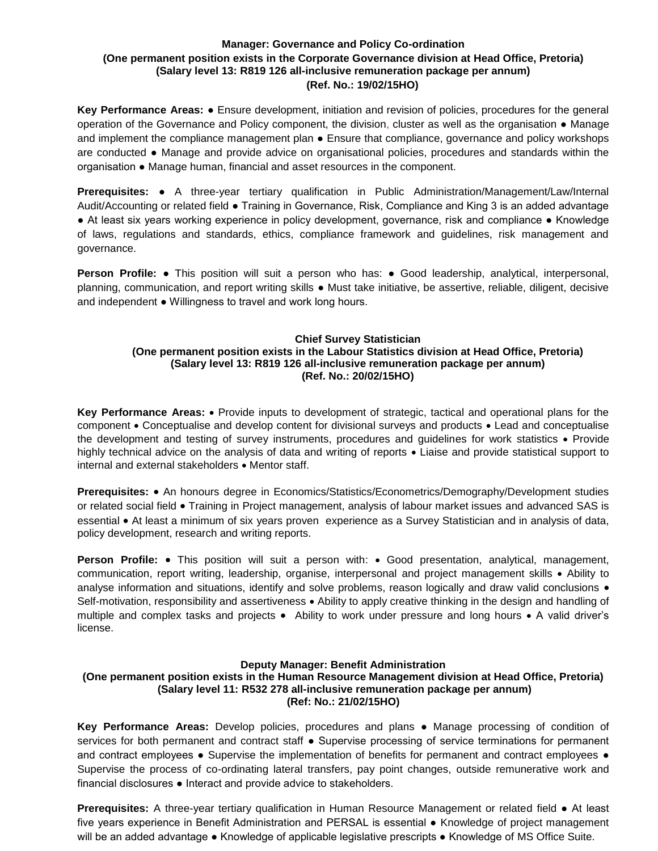# **Manager: Governance and Policy Co-ordination (One permanent position exists in the Corporate Governance division at Head Office, Pretoria) (Salary level 13: R819 126 all-inclusive remuneration package per annum) (Ref. No.: 19/02/15HO)**

**Key Performance Areas:** ● Ensure development, initiation and revision of policies, procedures for the general operation of the Governance and Policy component, the division, cluster as well as the organisation ● Manage and implement the compliance management plan ● Ensure that compliance, governance and policy workshops are conducted ● Manage and provide advice on organisational policies, procedures and standards within the organisation ● Manage human, financial and asset resources in the component.

**Prerequisites:** ● A three-year tertiary qualification in Public Administration/Management/Law/Internal Audit/Accounting or related field ● Training in Governance, Risk, Compliance and King 3 is an added advantage ● At least six years working experience in policy development, governance, risk and compliance ● Knowledge of laws, regulations and standards, ethics, compliance framework and guidelines, risk management and governance.

**Person Profile: •** This position will suit a person who has: • Good leadership, analytical, interpersonal, planning, communication, and report writing skills ● Must take initiative, be assertive, reliable, diligent, decisive and independent ● Willingness to travel and work long hours.

# **Chief Survey Statistician (One permanent position exists in the Labour Statistics division at Head Office, Pretoria) (Salary level 13: R819 126 all-inclusive remuneration package per annum) (Ref. No.: 20/02/15HO)**

**Key Performance Areas:** Provide inputs to development of strategic, tactical and operational plans for the component • Conceptualise and develop content for divisional surveys and products • Lead and conceptualise the development and testing of survey instruments, procedures and quidelines for work statistics • Provide highly technical advice on the analysis of data and writing of reports  $\bullet$  Liaise and provide statistical support to internal and external stakeholders • Mentor staff.

**Prerequisites:** • An honours degree in Economics/Statistics/Econometrics/Demography/Development studies or related social field • Training in Project management, analysis of labour market issues and advanced SAS is essential • At least a minimum of six years proven experience as a Survey Statistician and in analysis of data, policy development, research and writing reports.

**Person Profile:** • This position will suit a person with: • Good presentation, analytical, management, communication, report writing, leadership, organise, interpersonal and project management skills • Ability to analyse information and situations, identify and solve problems, reason logically and draw valid conclusions  $\bullet$ Self-motivation, responsibility and assertiveness • Ability to apply creative thinking in the design and handling of multiple and complex tasks and projects . Ability to work under pressure and long hours . A valid driver's license.

### **Deputy Manager: Benefit Administration**

# **(One permanent position exists in the Human Resource Management division at Head Office, Pretoria) (Salary level 11: R532 278 all-inclusive remuneration package per annum) (Ref: No.: 21/02/15HO)**

**Key Performance Areas:** Develop policies, procedures and plans ● Manage processing of condition of services for both permanent and contract staff • Supervise processing of service terminations for permanent and contract employees • Supervise the implementation of benefits for permanent and contract employees • Supervise the process of co-ordinating lateral transfers, pay point changes, outside remunerative work and financial disclosures ● Interact and provide advice to stakeholders.

**Prerequisites:** A three-year tertiary qualification in Human Resource Management or related field ● At least five years experience in Benefit Administration and PERSAL is essential ● Knowledge of project management will be an added advantage ● Knowledge of applicable legislative prescripts ● Knowledge of MS Office Suite.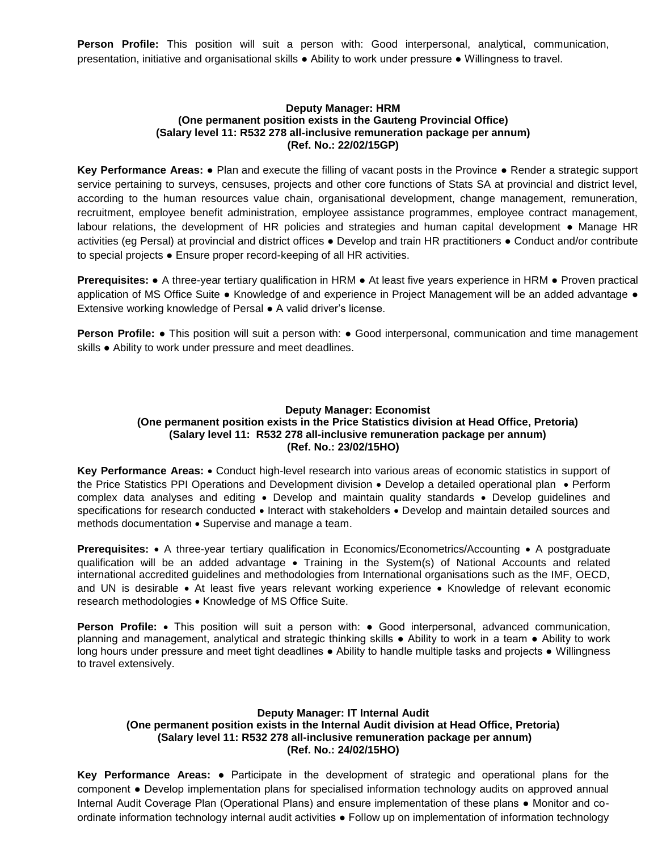**Person Profile:** This position will suit a person with: Good interpersonal, analytical, communication, presentation, initiative and organisational skills ● Ability to work under pressure ● Willingness to travel.

#### **Deputy Manager: HRM (One permanent position exists in the Gauteng Provincial Office) (Salary level 11: R532 278 all-inclusive remuneration package per annum) (Ref. No.: 22/02/15GP)**

**Key Performance Areas:** ● Plan and execute the filling of vacant posts in the Province ● Render a strategic support service pertaining to surveys, censuses, projects and other core functions of Stats SA at provincial and district level, according to the human resources value chain, organisational development, change management, remuneration, recruitment, employee benefit administration, employee assistance programmes, employee contract management, labour relations, the development of HR policies and strategies and human capital development ● Manage HR activities (eg Persal) at provincial and district offices ● Develop and train HR practitioners ● Conduct and/or contribute to special projects ● Ensure proper record-keeping of all HR activities.

**Prerequisites:** ● A three-year tertiary qualification in HRM ● At least five years experience in HRM ● Proven practical application of MS Office Suite ● Knowledge of and experience in Project Management will be an added advantage ● Extensive working knowledge of Persal ● A valid driver's license.

**Person Profile: •** This position will suit a person with: • Good interpersonal, communication and time management skills ● Ability to work under pressure and meet deadlines.

# **Deputy Manager: Economist (One permanent position exists in the Price Statistics division at Head Office, Pretoria) (Salary level 11: R532 278 all-inclusive remuneration package per annum) (Ref. No.: 23/02/15HO)**

**Key Performance Areas:** Conduct high-level research into various areas of economic statistics in support of the Price Statistics PPI Operations and Development division • Develop a detailed operational plan • Perform complex data analyses and editing • Develop and maintain quality standards • Develop guidelines and specifications for research conducted • Interact with stakeholders • Develop and maintain detailed sources and methods documentation • Supervise and manage a team.

**Prerequisites:** • A three-year tertiary qualification in Economics/Econometrics/Accounting • A postgraduate qualification will be an added advantage • Training in the System(s) of National Accounts and related international accredited guidelines and methodologies from International organisations such as the IMF, OECD, and UN is desirable • At least five years relevant working experience • Knowledge of relevant economic research methodologies • Knowledge of MS Office Suite.

**Person Profile:** • This position will suit a person with: • Good interpersonal, advanced communication, planning and management, analytical and strategic thinking skills ● Ability to work in a team ● Ability to work long hours under pressure and meet tight deadlines ● Ability to handle multiple tasks and projects ● Willingness to travel extensively.

# **Deputy Manager: IT Internal Audit (One permanent position exists in the Internal Audit division at Head Office, Pretoria) (Salary level 11: R532 278 all-inclusive remuneration package per annum) (Ref. No.: 24/02/15HO)**

**Key Performance Areas:** ● Participate in the development of strategic and operational plans for the component ● Develop implementation plans for specialised information technology audits on approved annual Internal Audit Coverage Plan (Operational Plans) and ensure implementation of these plans ● Monitor and coordinate information technology internal audit activities ● Follow up on implementation of information technology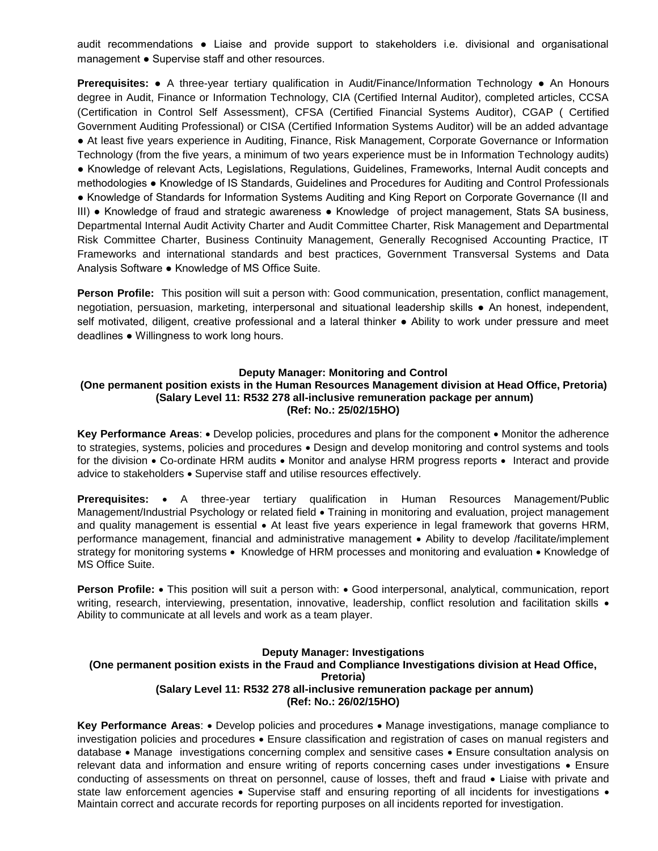audit recommendations ● Liaise and provide support to stakeholders i.e. divisional and organisational management ● Supervise staff and other resources.

**Prerequisites:** ● A three-year tertiary qualification in Audit/Finance/Information Technology ● An Honours degree in Audit, Finance or Information Technology, CIA (Certified Internal Auditor), completed articles, CCSA (Certification in Control Self Assessment), CFSA (Certified Financial Systems Auditor), CGAP ( Certified Government Auditing Professional) or CISA (Certified Information Systems Auditor) will be an added advantage ● At least five years experience in Auditing, Finance, Risk Management, Corporate Governance or Information Technology (from the five years, a minimum of two years experience must be in Information Technology audits) ● Knowledge of relevant Acts, Legislations, Regulations, Guidelines, Frameworks, Internal Audit concepts and methodologies ● Knowledge of IS Standards, Guidelines and Procedures for Auditing and Control Professionals ● Knowledge of Standards for Information Systems Auditing and King Report on Corporate Governance (II and III) ● Knowledge of fraud and strategic awareness ● Knowledge of project management, Stats SA business, Departmental Internal Audit Activity Charter and Audit Committee Charter, Risk Management and Departmental Risk Committee Charter, Business Continuity Management, Generally Recognised Accounting Practice, IT Frameworks and international standards and best practices, Government Transversal Systems and Data Analysis Software ● Knowledge of MS Office Suite.

**Person Profile:** This position will suit a person with: Good communication, presentation, conflict management, negotiation, persuasion, marketing, interpersonal and situational leadership skills ● An honest, independent, self motivated, diligent, creative professional and a lateral thinker ● Ability to work under pressure and meet deadlines ● Willingness to work long hours.

#### **Deputy Manager: Monitoring and Control**

### **(One permanent position exists in the Human Resources Management division at Head Office, Pretoria) (Salary Level 11: R532 278 all-inclusive remuneration package per annum) (Ref: No.: 25/02/15HO)**

Key Performance Areas: • Develop policies, procedures and plans for the component • Monitor the adherence to strategies, systems, policies and procedures • Design and develop monitoring and control systems and tools for the division • Co-ordinate HRM audits • Monitor and analyse HRM progress reports • Interact and provide advice to stakeholders . Supervise staff and utilise resources effectively.

**Prerequisites:** • A three-year tertiary qualification in Human Resources Management/Public Management/Industrial Psychology or related field • Training in monitoring and evaluation, project management and quality management is essential • At least five years experience in legal framework that governs HRM, performance management, financial and administrative management Ability to develop /facilitate/implement strategy for monitoring systems • Knowledge of HRM processes and monitoring and evaluation • Knowledge of MS Office Suite.

**Person Profile:** • This position will suit a person with: • Good interpersonal, analytical, communication, report writing, research, interviewing, presentation, innovative, leadership, conflict resolution and facilitation skills . Ability to communicate at all levels and work as a team player.

# **Deputy Manager: Investigations (One permanent position exists in the Fraud and Compliance Investigations division at Head Office, Pretoria) (Salary Level 11: R532 278 all-inclusive remuneration package per annum) (Ref: No.: 26/02/15HO)**

**Key Performance Areas**: Develop policies and procedures Manage investigations, manage compliance to investigation policies and procedures Ensure classification and registration of cases on manual registers and database • Manage investigations concerning complex and sensitive cases • Ensure consultation analysis on relevant data and information and ensure writing of reports concerning cases under investigations • Ensure conducting of assessments on threat on personnel, cause of losses, theft and fraud  $\bullet$  Liaise with private and state law enforcement agencies • Supervise staff and ensuring reporting of all incidents for investigations • Maintain correct and accurate records for reporting purposes on all incidents reported for investigation.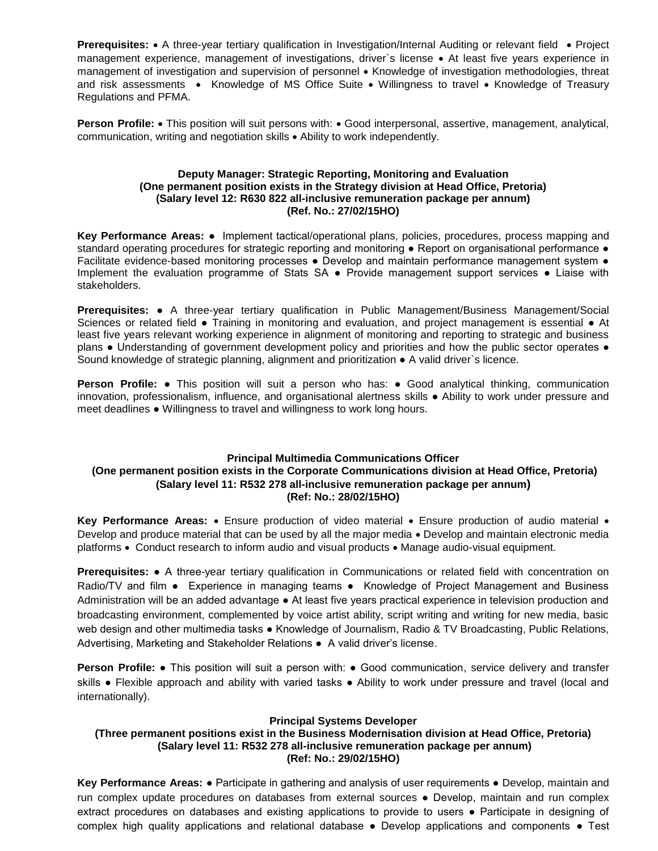**Prerequisites:** • A three-year tertiary qualification in Investigation/Internal Auditing or relevant field • Project management experience, management of investigations, driver's license • At least five years experience in management of investigation and supervision of personnel • Knowledge of investigation methodologies, threat and risk assessments • Knowledge of MS Office Suite • Willingness to travel • Knowledge of Treasury Regulations and PFMA.

**Person Profile:** • This position will suit persons with: • Good interpersonal, assertive, management, analytical, communication, writing and negotiation skills . Ability to work independently.

# **Deputy Manager: Strategic Reporting, Monitoring and Evaluation (One permanent position exists in the Strategy division at Head Office, Pretoria) (Salary level 12: R630 822 all-inclusive remuneration package per annum) (Ref. No.: 27/02/15HO)**

**Key Performance Areas:** ● Implement tactical/operational plans, policies, procedures, process mapping and standard operating procedures for strategic reporting and monitoring • Report on organisational performance • Facilitate evidence-based monitoring processes • Develop and maintain performance management system • Implement the evaluation programme of Stats SA ● Provide management support services ● Liaise with stakeholders.

**Prerequisites:** ● A three-year tertiary qualification in Public Management/Business Management/Social Sciences or related field • Training in monitoring and evaluation, and project management is essential • At least five years relevant working experience in alignment of monitoring and reporting to strategic and business plans ● Understanding of government development policy and priorities and how the public sector operates ● Sound knowledge of strategic planning, alignment and prioritization ● A valid driver`s licence.

**Person Profile: •** This position will suit a person who has: • Good analytical thinking, communication innovation, professionalism, influence, and organisational alertness skills ● Ability to work under pressure and meet deadlines ● Willingness to travel and willingness to work long hours.

# **Principal Multimedia Communications Officer (One permanent position exists in the Corporate Communications division at Head Office, Pretoria) (Salary level 11: R532 278 all-inclusive remuneration package per annum) (Ref: No.: 28/02/15HO)**

**Key Performance Areas: •** Ensure production of video material • Ensure production of audio material • Develop and produce material that can be used by all the major media • Develop and maintain electronic media platforms • Conduct research to inform audio and visual products • Manage audio-visual equipment.

**Prerequisites:** ● A three-year tertiary qualification in Communications or related field with concentration on Radio/TV and film • Experience in managing teams • Knowledge of Project Management and Business Administration will be an added advantage ● At least five years practical experience in television production and broadcasting environment, complemented by voice artist ability, script writing and writing for new media, basic web design and other multimedia tasks ● Knowledge of Journalism, Radio & TV Broadcasting, Public Relations, Advertising, Marketing and Stakeholder Relations ● A valid driver's license.

**Person Profile:** • This position will suit a person with: • Good communication, service delivery and transfer skills ● Flexible approach and ability with varied tasks ● Ability to work under pressure and travel (local and internationally).

# **Principal Systems Developer**

# **(Three permanent positions exist in the Business Modernisation division at Head Office, Pretoria) (Salary level 11: R532 278 all-inclusive remuneration package per annum) (Ref: No.: 29/02/15HO)**

**Key Performance Areas:** ● Participate in gathering and analysis of user requirements ● Develop, maintain and run complex update procedures on databases from external sources ● Develop, maintain and run complex extract procedures on databases and existing applications to provide to users ● Participate in designing of complex high quality applications and relational database ● Develop applications and components ● Test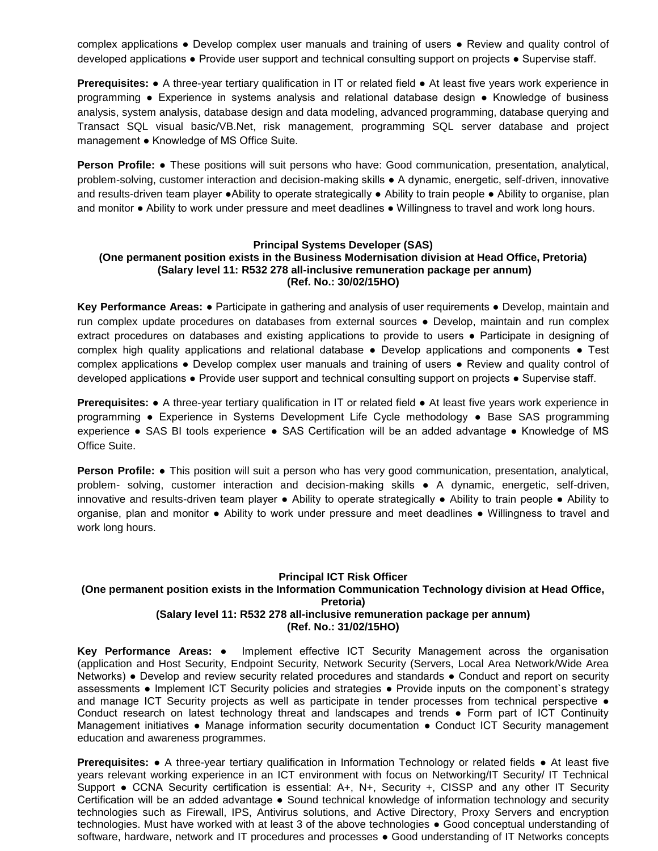complex applications ● Develop complex user manuals and training of users ● Review and quality control of developed applications ● Provide user support and technical consulting support on projects ● Supervise staff.

**Prerequisites:** ● A three-year tertiary qualification in IT or related field ● At least five years work experience in programming ● Experience in systems analysis and relational database design ● Knowledge of business analysis, system analysis, database design and data modeling, advanced programming, database querying and Transact SQL visual basic/VB.Net, risk management, programming SQL server database and project management ● Knowledge of MS Office Suite.

**Person Profile:** ● These positions will suit persons who have: Good communication, presentation, analytical, problem-solving, customer interaction and decision-making skills ● A dynamic, energetic, self-driven, innovative and results-driven team player ●Ability to operate strategically ● Ability to train people ● Ability to organise, plan and monitor ● Ability to work under pressure and meet deadlines ● Willingness to travel and work long hours.

#### **Principal Systems Developer (SAS) (One permanent position exists in the Business Modernisation division at Head Office, Pretoria) (Salary level 11: R532 278 all-inclusive remuneration package per annum) (Ref. No.: 30/02/15HO)**

**Key Performance Areas: •** Participate in gathering and analysis of user requirements • Develop, maintain and run complex update procedures on databases from external sources ● Develop, maintain and run complex extract procedures on databases and existing applications to provide to users ● Participate in designing of complex high quality applications and relational database • Develop applications and components • Test complex applications ● Develop complex user manuals and training of users ● Review and quality control of developed applications ● Provide user support and technical consulting support on projects ● Supervise staff.

**Prerequisites:** ● A three-year tertiary qualification in IT or related field ● At least five years work experience in programming ● Experience in Systems Development Life Cycle methodology **●** Base SAS programming experience **●** SAS BI tools experience **●** SAS Certification will be an added advantage ● Knowledge of MS Office Suite.

**Person Profile: ●** This position will suit a person who has very good communication, presentation, analytical, problem- solving, customer interaction and decision-making skills ● A dynamic, energetic, self-driven, innovative and results-driven team player ● Ability to operate strategically ● Ability to train people ● Ability to organise, plan and monitor ● Ability to work under pressure and meet deadlines ● Willingness to travel and work long hours.

# **Principal ICT Risk Officer (One permanent position exists in the Information Communication Technology division at Head Office, Pretoria) (Salary level 11: R532 278 all-inclusive remuneration package per annum) (Ref. No.: 31/02/15HO)**

**Key Performance Areas:** ● Implement effective ICT Security Management across the organisation (application and Host Security, Endpoint Security, Network Security (Servers, Local Area Network/Wide Area Networks) • Develop and review security related procedures and standards • Conduct and report on security assessments ● Implement ICT Security policies and strategies ● Provide inputs on the component`s strategy and manage ICT Security projects as well as participate in tender processes from technical perspective  $\bullet$ Conduct research on latest technology threat and landscapes and trends ● Form part of ICT Continuity Management initiatives • Manage information security documentation • Conduct ICT Security management education and awareness programmes.

**Prerequisites: •** A three-year tertiary qualification in Information Technology or related fields • At least five years relevant working experience in an ICT environment with focus on Networking/IT Security/ IT Technical Support ● CCNA Security certification is essential: A+, N+, Security +, CISSP and any other IT Security Certification will be an added advantage ● Sound technical knowledge of information technology and security technologies such as Firewall, IPS, Antivirus solutions, and Active Directory, Proxy Servers and encryption technologies. Must have worked with at least 3 of the above technologies ● Good conceptual understanding of software, hardware, network and IT procedures and processes ● Good understanding of IT Networks concepts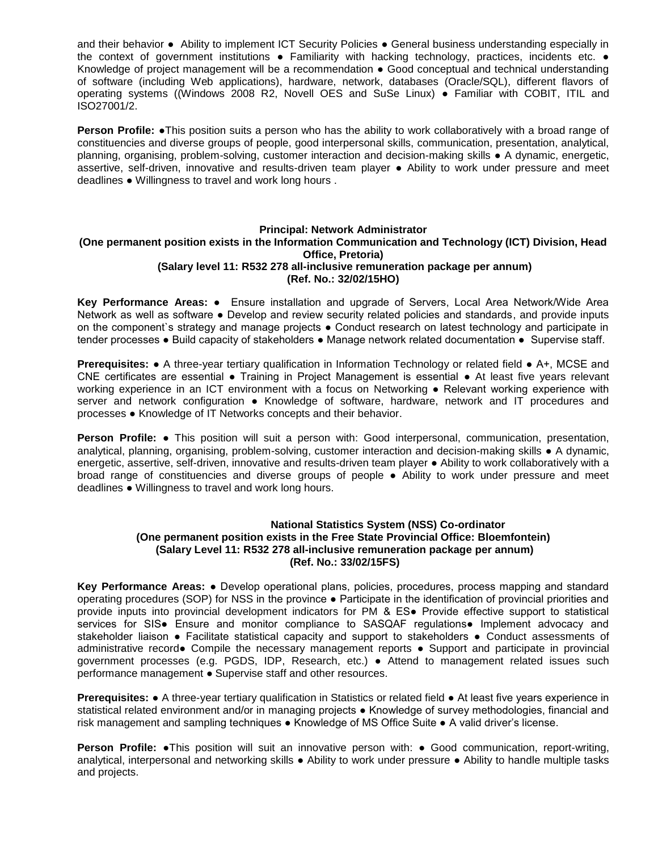and their behavior ● Ability to implement ICT Security Policies ● General business understanding especially in the context of government institutions  $\bullet$  Familiarity with hacking technology, practices, incidents etc.  $\bullet$ Knowledge of project management will be a recommendation ● Good conceptual and technical understanding of software (including Web applications), hardware, network, databases (Oracle/SQL), different flavors of operating systems ((Windows 2008 R2, Novell OES and SuSe Linux) ● Familiar with COBIT, ITIL and ISO27001/2.

**Person Profile: •**This position suits a person who has the ability to work collaboratively with a broad range of constituencies and diverse groups of people, good interpersonal skills, communication, presentation, analytical, planning, organising, problem-solving, customer interaction and decision-making skills ● A dynamic, energetic, assertive, self-driven, innovative and results-driven team player ● Ability to work under pressure and meet deadlines ● Willingness to travel and work long hours .

# **Principal: Network Administrator (One permanent position exists in the Information Communication and Technology (ICT) Division, Head Office, Pretoria) (Salary level 11: R532 278 all-inclusive remuneration package per annum) (Ref. No.: 32/02/15HO)**

**Key Performance Areas:** ● Ensure installation and upgrade of Servers, Local Area Network/Wide Area Network as well as software ● Develop and review security related policies and standards, and provide inputs on the component`s strategy and manage projects ● Conduct research on latest technology and participate in tender processes ● Build capacity of stakeholders ● Manage network related documentation ● Supervise staff.

**Prerequisites: •** A three-year tertiary qualification in Information Technology or related field • A+, MCSE and CNE certificates are essential ● Training in Project Management is essential ● At least five years relevant working experience in an ICT environment with a focus on Networking ● Relevant working experience with server and network configuration ● Knowledge of software, hardware, network and IT procedures and processes ● Knowledge of IT Networks concepts and their behavior.

**Person Profile:** ● This position will suit a person with: Good interpersonal, communication, presentation, analytical, planning, organising, problem-solving, customer interaction and decision-making skills ● A dynamic, energetic, assertive, self-driven, innovative and results-driven team player ● Ability to work collaboratively with a broad range of constituencies and diverse groups of people ● Ability to work under pressure and meet deadlines ● Willingness to travel and work long hours.

### **National Statistics System (NSS) Co-ordinator (One permanent position exists in the Free State Provincial Office: Bloemfontein) (Salary Level 11: R532 278 all-inclusive remuneration package per annum) (Ref. No.: 33/02/15FS)**

**Key Performance Areas:** ● Develop operational plans, policies, procedures, process mapping and standard operating procedures (SOP) for NSS in the province ● Participate in the identification of provincial priorities and provide inputs into provincial development indicators for PM & ES● Provide effective support to statistical services for SIS• Ensure and monitor compliance to SASQAF regulations• Implement advocacy and stakeholder liaison • Facilitate statistical capacity and support to stakeholders • Conduct assessments of administrative record● Compile the necessary management reports ● Support and participate in provincial government processes (e.g. PGDS, IDP, Research, etc.) ● Attend to management related issues such performance management . Supervise staff and other resources.

**Prerequisites: •** A three-year tertiary qualification in Statistics or related field • At least five years experience in statistical related environment and/or in managing projects ● Knowledge of survey methodologies, financial and risk management and sampling techniques • Knowledge of MS Office Suite • A valid driver's license.

**Person Profile: ●This position will suit an innovative person with: ● Good communication, report-writing,** analytical, interpersonal and networking skills ● Ability to work under pressure ● Ability to handle multiple tasks and projects.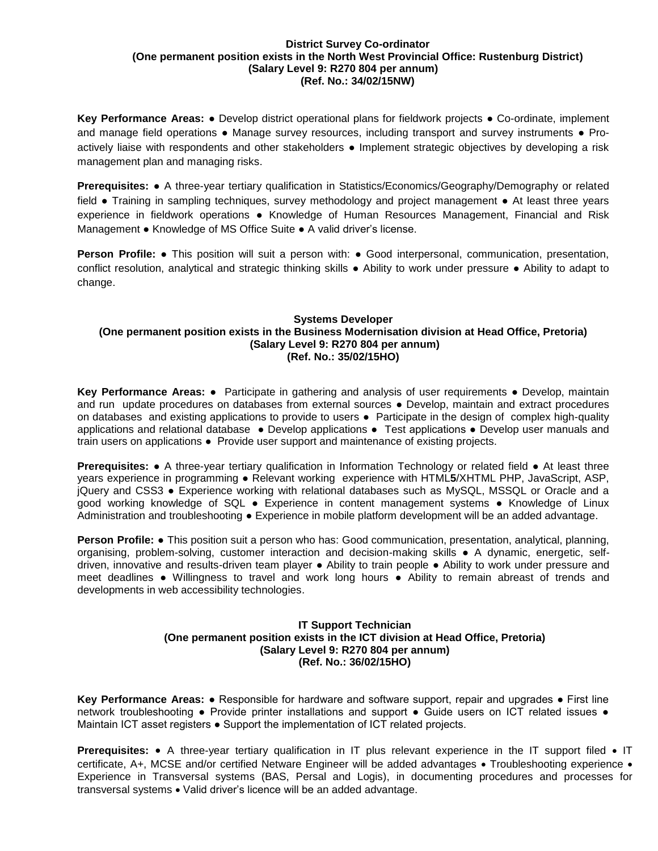#### **District Survey Co-ordinator (One permanent position exists in the North West Provincial Office: Rustenburg District) (Salary Level 9: R270 804 per annum) (Ref. No.: 34/02/15NW)**

**Key Performance Areas:** ● Develop district operational plans for fieldwork projects ● Co-ordinate, implement and manage field operations • Manage survey resources, including transport and survey instruments • Proactively liaise with respondents and other stakeholders ● Implement strategic objectives by developing a risk management plan and managing risks.

**Prerequisites:** ● A three-year tertiary qualification in Statistics/Economics/Geography/Demography or related field ● Training in sampling techniques, survey methodology and project management ● At least three years experience in fieldwork operations ● Knowledge of Human Resources Management, Financial and Risk Management ● Knowledge of MS Office Suite ● A valid driver's license.

**Person Profile:** • This position will suit a person with: • Good interpersonal, communication, presentation, conflict resolution, analytical and strategic thinking skills ● Ability to work under pressure ● Ability to adapt to change.

# **Systems Developer (One permanent position exists in the Business Modernisation division at Head Office, Pretoria) (Salary Level 9: R270 804 per annum) (Ref. No.: 35/02/15HO)**

**Key Performance Areas:** ● Participate in gathering and analysis of user requirements ● Develop, maintain and run update procedures on databases from external sources ● Develop, maintain and extract procedures on databases and existing applications to provide to users • Participate in the design of complex high-quality applications and relational database ● Develop applications ● Test applications ● Develop user manuals and train users on applications ● Provide user support and maintenance of existing projects.

**Prerequisites:** ● A three-year tertiary qualification in Information Technology or related field ● At least three years experience in programming ● Relevant working experience with HTML**5**/XHTML PHP, JavaScript, ASP, jQuery and CSS3 ● Experience working with relational databases such as MySQL, MSSQL or Oracle and a good working knowledge of SQL ● Experience in content management systems ● Knowledge of Linux Administration and troubleshooting • Experience in mobile platform development will be an added advantage.

**Person Profile:** ● This position suit a person who has: Good communication, presentation, analytical, planning, organising, problem-solving, customer interaction and decision-making skills ● A dynamic, energetic, selfdriven, innovative and results-driven team player ● Ability to train people ● Ability to work under pressure and meet deadlines ● Willingness to travel and work long hours ● Ability to remain abreast of trends and developments in web accessibility technologies.

# **IT Support Technician (One permanent position exists in the ICT division at Head Office, Pretoria) (Salary Level 9: R270 804 per annum) (Ref. No.: 36/02/15HO)**

**Key Performance Areas:** ● Responsible for hardware and software support, repair and upgrades ● First line network troubleshooting • Provide printer installations and support • Guide users on ICT related issues • Maintain ICT asset registers ● Support the implementation of ICT related projects.

**Prerequisites:** • A three-year tertiary qualification in IT plus relevant experience in the IT support filed • IT certificate, A+, MCSE and/or certified Netware Engineer will be added advantages • Troubleshooting experience • Experience in Transversal systems (BAS, Persal and Logis), in documenting procedures and processes for transversal systems • Valid driver's licence will be an added advantage.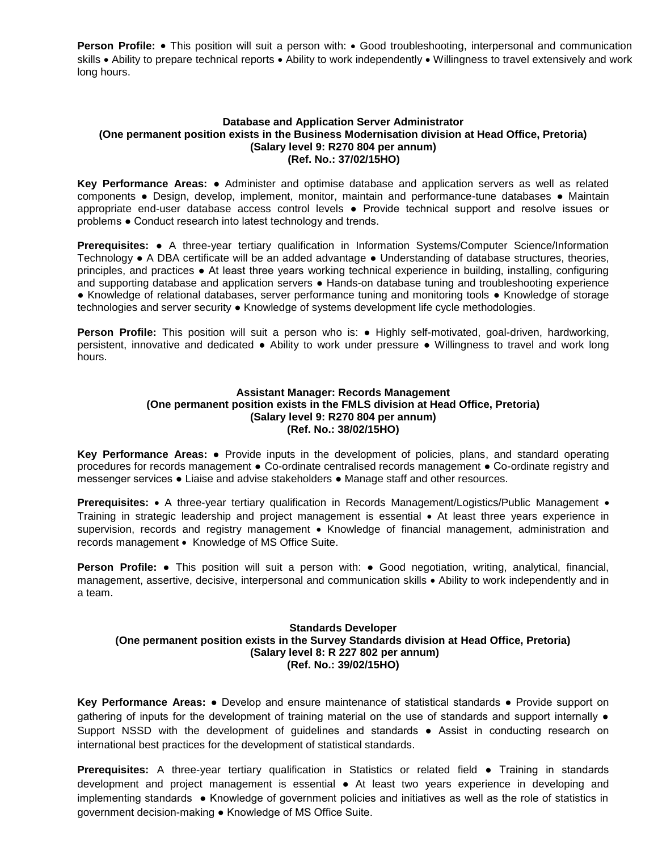**Person Profile:** • This position will suit a person with: • Good troubleshooting, interpersonal and communication skills • Ability to prepare technical reports • Ability to work independently • Willingness to travel extensively and work long hours.

### **Database and Application Server Administrator (One permanent position exists in the Business Modernisation division at Head Office, Pretoria) (Salary level 9: R270 804 per annum) (Ref. No.: 37/02/15HO)**

**Key Performance Areas:** ● Administer and optimise database and application servers as well as related components ● Design, develop, implement, monitor, maintain and performance-tune databases ● Maintain appropriate end-user database access control levels ● Provide technical support and resolve issues or problems ● Conduct research into latest technology and trends.

**Prerequisites:** ● A three-year tertiary qualification in Information Systems/Computer Science/Information Technology ● A DBA certificate will be an added advantage ● Understanding of database structures, theories, principles, and practices ● At least three years working technical experience in building, installing, configuring and supporting database and application servers • Hands-on database tuning and troubleshooting experience ● Knowledge of relational databases, server performance tuning and monitoring tools ● Knowledge of storage technologies and server security ● Knowledge of systems development life cycle methodologies.

**Person Profile:** This position will suit a person who is: ● Highly self-motivated, goal-driven, hardworking, persistent, innovative and dedicated ● Ability to work under pressure ● Willingness to travel and work long hours.

# **Assistant Manager: Records Management (One permanent position exists in the FMLS division at Head Office, Pretoria) (Salary level 9: R270 804 per annum) (Ref. No.: 38/02/15HO)**

**Key Performance Areas:** ● Provide inputs in the development of policies, plans, and standard operating procedures for records management **●** Co-ordinate centralised records management ● Co-ordinate registry and messenger services ● Liaise and advise stakeholders **●** Manage staff and other resources.

**Prerequisites:** • A three-year tertiary qualification in Records Management/Logistics/Public Management • Training in strategic leadership and project management is essential • At least three years experience in supervision, records and registry management • Knowledge of financial management, administration and records management • Knowledge of MS Office Suite.

**Person Profile:** • This position will suit a person with: • Good negotiation, writing, analytical, financial, management, assertive, decisive, interpersonal and communication skills • Ability to work independently and in a team.

# **Standards Developer (One permanent position exists in the Survey Standards division at Head Office, Pretoria) (Salary level 8: R 227 802 per annum) (Ref. No.: 39/02/15HO)**

**Key Performance Areas:** ● Develop and ensure maintenance of statistical standards ● Provide support on gathering of inputs for the development of training material on the use of standards and support internally  $\bullet$ Support NSSD with the development of guidelines and standards ● Assist in conducting research on international best practices for the development of statistical standards.

**Prerequisites:** A three-year tertiary qualification in Statistics or related field ● Training in standards development and project management is essential ● At least two years experience in developing and implementing standards ● Knowledge of government policies and initiatives as well as the role of statistics in government decision-making ● Knowledge of MS Office Suite.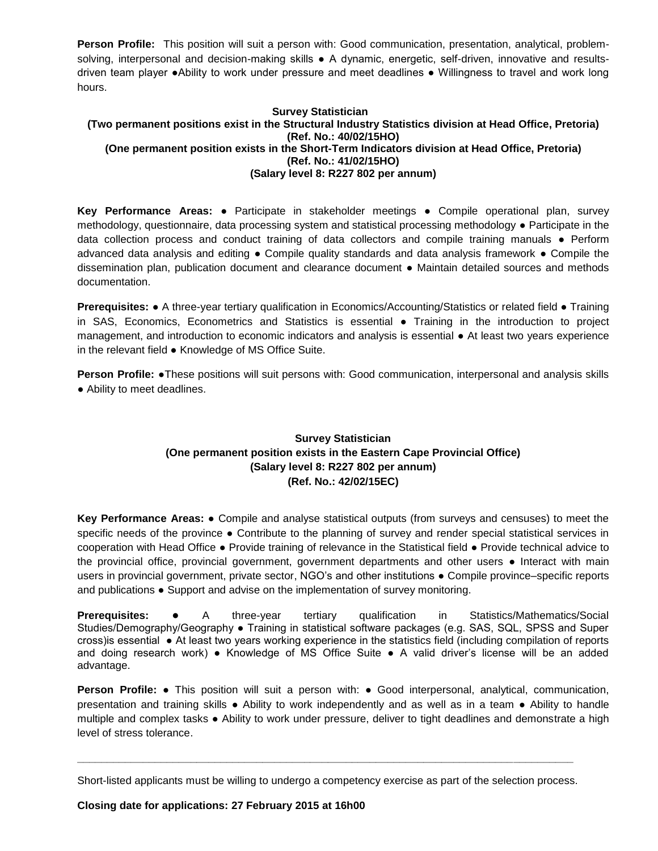**Person Profile:** This position will suit a person with: Good communication, presentation, analytical, problemsolving, interpersonal and decision-making skills • A dynamic, energetic, self-driven, innovative and resultsdriven team player ●Ability to work under pressure and meet deadlines ● Willingness to travel and work long hours.

# **Survey Statistician (Two permanent positions exist in the Structural Industry Statistics division at Head Office, Pretoria) (Ref. No.: 40/02/15HO) (One permanent position exists in the Short-Term Indicators division at Head Office, Pretoria) (Ref. No.: 41/02/15HO) (Salary level 8: R227 802 per annum)**

**Key Performance Areas:** ● Participate in stakeholder meetings ● Compile operational plan, survey methodology, questionnaire, data processing system and statistical processing methodology ● Participate in the data collection process and conduct training of data collectors and compile training manuals ● Perform advanced data analysis and editing ● Compile quality standards and data analysis framework ● Compile the dissemination plan, publication document and clearance document ● Maintain detailed sources and methods documentation.

**Prerequisites: •** A three-year tertiary qualification in Economics/Accounting/Statistics or related field • Training in SAS, Economics, Econometrics and Statistics is essential ● Training in the introduction to project management, and introduction to economic indicators and analysis is essential ● At least two years experience in the relevant field ● Knowledge of MS Office Suite.

**Person Profile:** ●These positions will suit persons with: Good communication, interpersonal and analysis skills ● Ability to meet deadlines.

# **Survey Statistician (One permanent position exists in the Eastern Cape Provincial Office) (Salary level 8: R227 802 per annum) (Ref. No.: 42/02/15EC)**

**Key Performance Areas:** ● Compile and analyse statistical outputs (from surveys and censuses) to meet the specific needs of the province • Contribute to the planning of survey and render special statistical services in cooperation with Head Office ● Provide training of relevance in the Statistical field ● Provide technical advice to the provincial office, provincial government, government departments and other users ● Interact with main users in provincial government, private sector, NGO's and other institutions • Compile province–specific reports and publications ● Support and advise on the implementation of survey monitoring.

**Prerequisites: ●** A three-year tertiary qualification in Statistics/Mathematics/Social Studies/Demography/Geography ● Training in statistical software packages (e.g. SAS, SQL, SPSS and Super cross)is essential ● At least two years working experience in the statistics field (including compilation of reports and doing research work) ● Knowledge of MS Office Suite ● A valid driver's license will be an added advantage.

**Person Profile:** ● This position will suit a person with: ● Good interpersonal, analytical, communication, presentation and training skills ● Ability to work independently and as well as in a team ● Ability to handle multiple and complex tasks ● Ability to work under pressure, deliver to tight deadlines and demonstrate a high level of stress tolerance.

Short-listed applicants must be willing to undergo a competency exercise as part of the selection process.

**\_\_\_\_\_\_\_\_\_\_\_\_\_\_\_\_\_\_\_\_\_\_\_\_\_\_\_\_\_\_\_\_\_\_\_\_\_\_\_\_\_\_\_\_\_\_\_\_\_\_\_\_\_\_\_\_\_\_\_\_\_\_\_\_\_\_\_\_\_\_\_\_\_\_\_\_\_\_\_\_\_\_\_**

## **Closing date for applications: 27 February 2015 at 16h00**